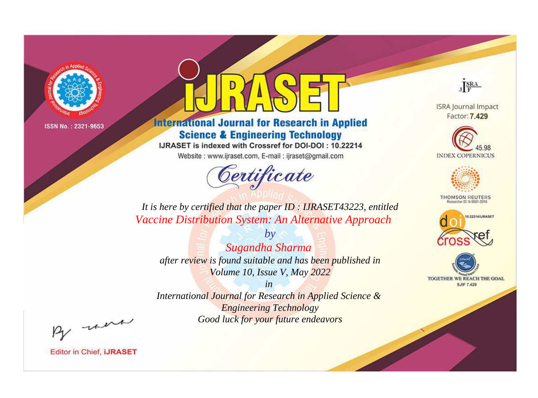

# **International Journal for Research in Applied Science & Engineering Technology**

IJRASET is indexed with Crossref for DOI-DOI: 10.22214

Website: www.ijraset.com, E-mail: ijraset@gmail.com



JERA

**ISRA Journal Impact** Factor: 7.429





**THOMSON REUTERS** 



TOGETHER WE REACH THE GOAL **SJIF 7.429** 

It is here by certified that the paper ID: IJRASET43223, entitled Vaccine Distribution System: An Alternative Approach

Sugandha Sharma after review is found suitable and has been published in Volume 10, Issue V, May 2022

 $by$ 

 $in$ International Journal for Research in Applied Science & **Engineering Technology** Good luck for your future endeavors

By morn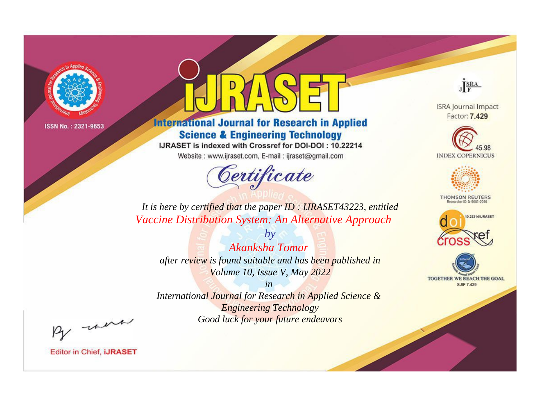

# **International Journal for Research in Applied Science & Engineering Technology**

IJRASET is indexed with Crossref for DOI-DOI: 10.22214

Website: www.ijraset.com, E-mail: ijraset@gmail.com



JERA

**ISRA Journal Impact** Factor: 7.429





**THOMSON REUTERS** 



TOGETHER WE REACH THE GOAL **SJIF 7.429** 

*It is here by certified that the paper ID : IJRASET43223, entitled Vaccine Distribution System: An Alternative Approach*

*by Akanksha Tomar after review is found suitable and has been published in Volume 10, Issue V, May 2022*

*in* 

*International Journal for Research in Applied Science & Engineering Technology Good luck for your future endeavors*

By morn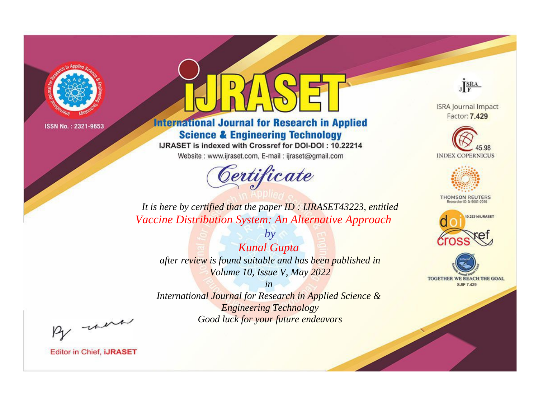

# **International Journal for Research in Applied Science & Engineering Technology**

IJRASET is indexed with Crossref for DOI-DOI: 10.22214

Website: www.ijraset.com, E-mail: ijraset@gmail.com



JERA

**ISRA Journal Impact** Factor: 7.429





**THOMSON REUTERS** 



TOGETHER WE REACH THE GOAL **SJIF 7.429** 

It is here by certified that the paper ID: IJRASET43223, entitled Vaccine Distribution System: An Alternative Approach

**Kunal Gupta** after review is found suitable and has been published in Volume 10, Issue V, May 2022

 $by$ 

 $in$ International Journal for Research in Applied Science & **Engineering Technology** Good luck for your future endeavors

By morn